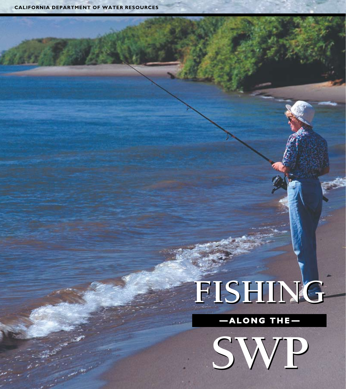$\frac{1}{2}$ 

# **FISHING FISHING**

**along The-**

**SWP SWP**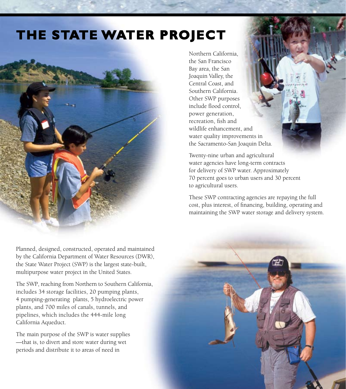## **The State Water Project**



Planned, designed, constructed, operated and maintained by the California Department of Water Resources (DWR), the State Water Project (SWP) is the largest state-built, multipurpose water project in the United States.

The SWP, reaching from Northern to Southern California, includes 34 storage facilities, 20 pumping plants, 4 pumping-generating plants, 5 hydroelectric power plants, and 700 miles of canals, tunnels, and pipelines, which includes the 444-mile long California Aqueduct.

The main purpose of the SWP is water supplies —that is, to divert and store water during wet periods and distribute it to areas of need in

Northern California, the San Francisco Bay area, the San Joaquin Valley, the Central Coast, and Southern California. Other SWP purposes include flood control, power generation, recreation, fish and wildlife enhancement, and water quality improvements in the Sacramento-San Joaquin Delta.

Twenty-nine urban and agricultural water agencies have long-term contracts for delivery of SWP water. Approximately 70 percent goes to urban users and 30 percent to agricultural users.

These SWP contracting agencies are repaying the full cost, plus interest, of financing, building, operating and maintaining the SWP water storage and delivery system.

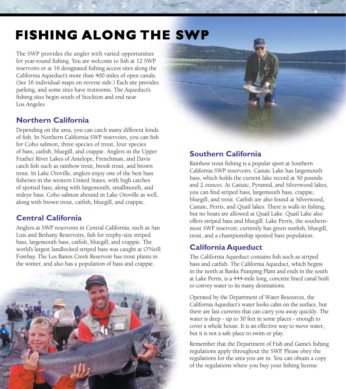# **Fishing Along the SWP**

The SWP provides the angler with varied opportunities for year-round fishing. You are welcome to fish at 12 SWP reservoirs or at 16 designated fishing access sites along the California Aqueduct's more than 400 miles of open canals. (See 16 individual maps on reverse side.) Each site provides parking, and some sites have restrooms. The Aqueduct's fishing sites begin south of Stockton and end near Los Angeles.

#### **Northern California**

Depending on the area, you can catch many different kinds of fish. In Northern California SWP reservoirs, you can fish for Coho salmon, three species of trout, four species of bass, catfish, bluegill, and crappie. Anglers in the Upper Feather River Lakes of Antelope, Frenchman, and Davis catch fish such as rainbow trout, brook trout, and brown trout. In Lake Oroville, anglers enjoy one of the best bass fisheries in the western United States, with high catches of spotted bass, along with largemouth, smallmouth, and redeye bass. Coho salmon abound in Lake Oroville as well, along with brown trout, catfish, bluegill, and crappie.

#### **Central California**

Anglers at SWP reservoirs in Central California, such as San Luis and Bethany Reservoirs, fish for trophy-size striped bass, largemouth bass, catfish, bluegill, and crappie. The world's largest landlocked striped bass was caught at O'Neill Forebay. The Los Banos Creek Reservoir has trout plants in the winter, and also has a population of bass and crappie.





#### **Southern California**

Rainbow trout fishing is a popular sport at Southern California SWP reservoirs. Castaic Lake has largemouth bass, which holds the current lake record at 50 pounds and 2 ounces. At Castaic, Pyramid, and Silverwood lakes, you can find striped bass, largemouth bass, crappie, bluegill, and trout. Catfish are also found at Silverwood, Castaic, Perris, and Quail lakes. There is walk-in fishing, but no boats are allowed at Quail Lake. Quail Lake also offers striped bass and bluegill. Lake Perris, the southernmost SWP reservoir, currently has green sunfish, bluegill, trout, and a championship spotted bass population.

#### **California Aqueduct**

The California Aqueduct contains fish such as striped bass and catfish. The California Aqueduct, which begins in the north at Banks Pumping Plant and ends in the south at Lake Perris, is a 444-mile long, concrete lined canal built to convey water to its many destinations.

Operated by the Department of Water Resources, the California Aqueduct's water looks calm on the surface, but there are fast currents that can carry you away quickly. The water is deep - up to 30 feet in some places - enough to cover a whole house. It is an effective way to move water, but it is not a safe place to swim or play.

Remember that the Department of Fish and Game's fishing regulations apply throughout the SWP. Please obey the regulations for the area you are in. You can obtain a copy of the regulations where you buy your fishing license.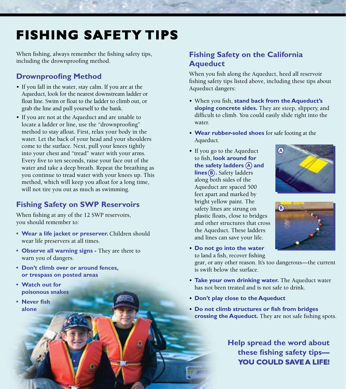# **Fishing Safety Tips**

When fishing, always remember the fishing safety tips, including the drownproofing method.

#### **Drownproofing Method**

- If you fall in the water, stay calm. If you are at the Aqueduct, look for the nearest downstream ladder or float line. Swim or float to the ladder to climb out, or grab the line and pull yourself to the bank.
- If you are not at the Aqueduct and are unable to locate a ladder or line, use the "drownproofing" method to stay afloat. First, relax your body in the water. Let the back of your head and your shoulders come to the surface. Next, pull your knees tightly into your chest and "tread" water with your arms. Every five to ten seconds, raise your face out of the water and take a deep breath. Repeat the breathing as you continue to tread water with your knees up. This method, which will keep you afloat for a long time, will not tire you out as much as swimming.

#### **Fishing Safety on SWP Reservoirs**

When fishing at any of the 12 SWP reservoirs, you should remember to:

- **• Wear a life jacket or preserver.** Children should wear life preservers at all times.
- **• Observe all warning signs -** They are there to warn you of dangers.
- **• Don't climb over or around fences, or trespass on posted areas**
- **• Watch out for poisonous snakes**
- **• Never fish alone**

#### **Fishing Safety on the California Aqueduct**

When you fish along the Aqueduct, heed all reservoir fishing safety tips listed above, including these tips about Aqueduct dangers:

- • When you fish, **stand back from the Aqueduct's sloping concrete sides.** They are steep, slippery, and difficult to climb. You could easily slide right into the water.
- • **Wear rubber-soled shoes** for safe footing at the Aqueduct.
- the safety ladders **(A)** and **lines (B).** Safety ladders • If you go to the Aqueduct to fish, **look around for** along both sides of the Aqueduct are spaced 500 feet apart and marked by bright yellow paint. The safety lines are strung on plastic floats, close to bridges and other structures that cross the Aqueduct. These ladders and lines can save your life.





• **Do not go into the water** to land a fish, recover fishing

gear, or any other reason. It's too dangerous—the current is swift below the surface.

- • **Take your own drinking water.** The Aqueduct water has not been treated and is not safe to drink.
- • **Don't play close to the Aqueduct**
- • **Do not climb structures or fish from bridges crossing the Aqueduct.** They are not safe fishing spots.

 **Help spread the word about these fishing safety tips— YOU COULD SAVE A LIFE!**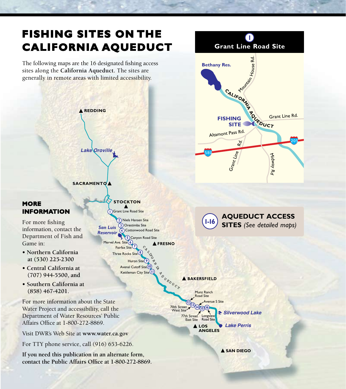### **FISHING SITES On The California Aqueduct**

The following maps are the 16 designated fishing access



**1 Grant Line Road Site**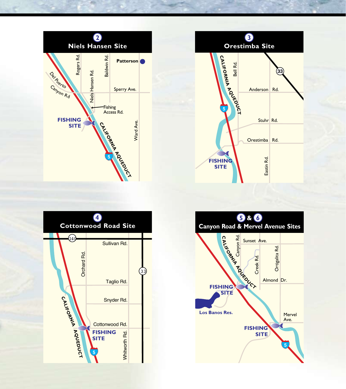





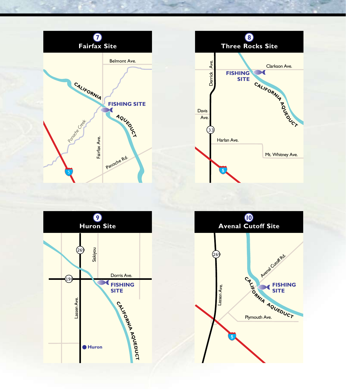

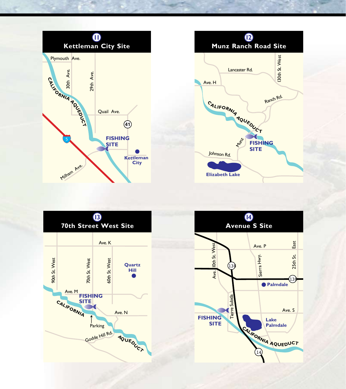